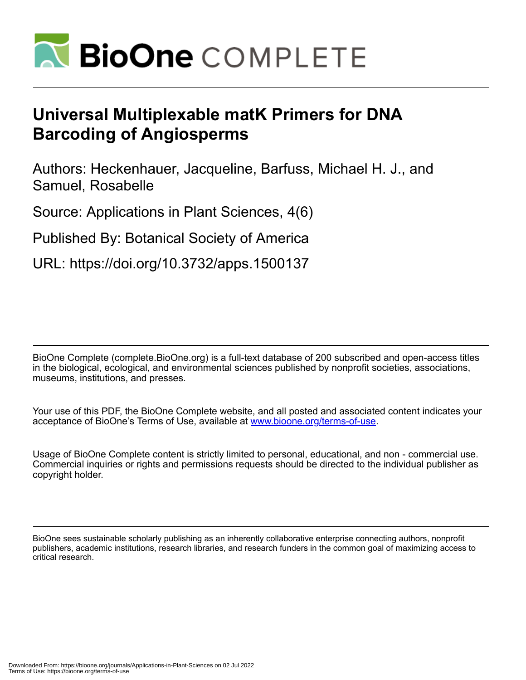

# **Universal Multiplexable matK Primers for DNA Barcoding of Angiosperms**

Authors: Heckenhauer, Jacqueline, Barfuss, Michael H. J., and Samuel, Rosabelle

Source: Applications in Plant Sciences, 4(6)

Published By: Botanical Society of America

URL: https://doi.org/10.3732/apps.1500137

BioOne Complete (complete.BioOne.org) is a full-text database of 200 subscribed and open-access titles in the biological, ecological, and environmental sciences published by nonprofit societies, associations, museums, institutions, and presses.

Your use of this PDF, the BioOne Complete website, and all posted and associated content indicates your acceptance of BioOne's Terms of Use, available at www.bioone.org/terms-of-use.

Usage of BioOne Complete content is strictly limited to personal, educational, and non - commercial use. Commercial inquiries or rights and permissions requests should be directed to the individual publisher as copyright holder.

BioOne sees sustainable scholarly publishing as an inherently collaborative enterprise connecting authors, nonprofit publishers, academic institutions, research libraries, and research funders in the common goal of maximizing access to critical research.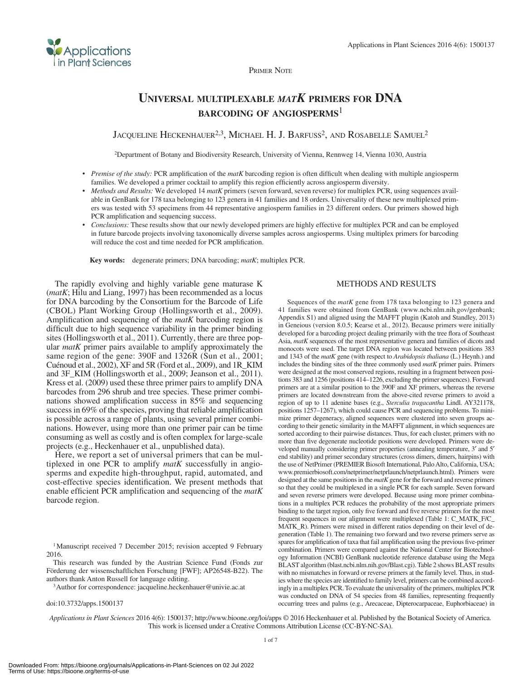

## **Universal multiplexable** *matK* **primers for DNA barcoding of angiosperms**<sup>1</sup>

JACQUELINE HECKENHAUER<sup>2,3</sup>, MICHAEL H. J. BARFUSS<sup>2</sup>, AND ROSABELLE SAMUEL<sup>2</sup>

2Department of Botany and Biodiversity Research, University of Vienna, Rennweg 14, Vienna 1030, Austria

- • *Premise of the study:* PCR amplification of the *matK* barcoding region is often difficult when dealing with multiple angiosperm families. We developed a primer cocktail to amplify this region efficiently across angiosperm diversity.
- *Methods and Results:* We developed 14 *matK* primers (seven forward, seven reverse) for multiplex PCR, using sequences available in GenBank for 178 taxa belonging to 123 genera in 41 families and 18 orders. Universality of these new multiplexed primers was tested with 53 specimens from 44 representative angiosperm families in 23 different orders. Our primers showed high PCR amplification and sequencing success.
- • *Conclusions:* These results show that our newly developed primers are highly effective for multiplex PCR and can be employed in future barcode projects involving taxonomically diverse samples across angiosperms. Using multiplex primers for barcoding will reduce the cost and time needed for PCR amplification.

**Key words:** degenerate primers; DNA barcoding; *matK*; multiplex PCR.

The rapidly evolving and highly variable gene maturase K (*matK*; Hilu and Liang, 1997) has been recommended as a locus for DNA barcoding by the Consortium for the Barcode of Life (CBOL) Plant Working Group (Hollingsworth et al., 2009). Amplification and sequencing of the *matK* barcoding region is difficult due to high sequence variability in the primer binding sites (Hollingsworth et al., 2011). Currently, there are three popular *matK* primer pairs available to amplify approximately the same region of the gene: 390F and 1326R (Sun et al., 2001; Cuénoud et al., 2002), XF and 5R (Ford et al., 2009), and 1R\_KIM and 3F\_KIM (Hollingsworth et al., 2009; Jeanson et al., 2011). Kress et al. (2009) used these three primer pairs to amplify DNA barcodes from 296 shrub and tree species. These primer combinations showed amplification success in 85% and sequencing success in 69% of the species, proving that reliable amplification is possible across a range of plants, using several primer combinations. However, using more than one primer pair can be time consuming as well as costly and is often complex for large-scale projects (e.g., Heckenhauer et al., unpublished data).

**Applications** in Plant Sciences

Here, we report a set of universal primers that can be multiplexed in one PCR to amplify *matK* successfully in angiosperms and expedite high-throughput, rapid, automated, and cost-effective species identification. We present methods that enable efficient PCR amplification and sequencing of the *matK* barcode region.

This research was funded by the Austrian Science Fund (Fonds zur Förderung der wissenschaftlichen Forschung [FWF]; AP26548-B22). The authors thank Anton Russell for language editing.

3Author for correspondence: jacqueline.heckenhauer@univie.ac.at

doi:10.3732/apps.1500137

#### METHODS AND RESULTS

Sequences of the *matK* gene from 178 taxa belonging to 123 genera and 41 families were obtained from GenBank (www.ncbi.nlm.nih.gov/genbank; [Appendix S1](http://www.bioone.org/doi/suppl/10.3732/apps.1500137/suppl_file/apps.1500137_s1.docx)) and aligned using the MAFFT plugin (Katoh and Standley, 2013) in Geneious (version 8.0.5; Kearse et al., 2012). Because primers were initially developed for a barcoding project dealing primarily with the tree flora of Southeast Asia, *matK* sequences of the most representative genera and families of dicots and monocots were used. The target DNA region was located between positions 383 and 1343 of the *matK* gene (with respect to *Arabidopsis thaliana* (L.) Heynh.) and includes the binding sites of the three commonly used *matK* primer pairs. Primers were designed at the most conserved regions, resulting in a fragment between positions 383 and 1256 (positions 414–1226, excluding the primer sequences). Forward primers are at a similar position to the 390F and XF primers, whereas the reverse primers are located downstream from the above-cited reverse primers to avoid a region of up to 11 adenine bases (e.g., *Sterculia tragacantha* Lindl. AY321178, positions 1257–1267), which could cause PCR and sequencing problems. To minimize primer degeneracy, aligned sequences were clustered into seven groups according to their genetic similarity in the MAFFT alignment, in which sequences are sorted according to their pairwise distances. Thus, for each cluster, primers with no more than five degenerate nucleotide positions were developed. Primers were developed manually considering primer properties (annealing temperature, 3′ and 5′ end stability) and primer secondary structures (cross dimers, dimers, hairpins) with the use of NetPrimer (PREMIER Biosoft International, Palo Alto, California, USA; [www.premierbiosoft.com/netprimer/netprlaunch/netprlaunch.html\)](www.premierbiosoft.com/netprimer/netprlaunch/netprlaunch.html). Primers were designed at the same positions in the *matK* gene for the forward and reverse primers so that they could be multiplexed in a single PCR for each sample. Seven forward and seven reverse primers were developed. Because using more primer combinations in a multiplex PCR reduces the probability of the most appropriate primers binding to the target region, only five forward and five reverse primers for the most frequent sequences in our alignment were multiplexed (Table 1: C\_MATK\_F/C\_ MATK\_R). Primers were mixed in different ratios depending on their level of degeneration (Table 1). The remaining two forward and two reverse primers serve as spares for amplification of taxa that fail amplification using the previous five-primer combination. Primers were compared against the National Center for Biotechnology Information (NCBI) GenBank nucleotide reference database using the Mega BLAST algorithm ([blast.ncbi.nlm.nih.gov/Blast.cgi](http://blast.ncbi.nlm.nih.gov/Blast.cgi)). Table 2 shows BLAST results with no mismatches in forward or reverse primers at the family level. Thus, in studies where the species are identified to family level, primers can be combined accordingly in a multiplex PCR. To evaluate the universality of the primers, multiplex PCR was conducted on DNA of 54 species from 48 families, representing frequently occurring trees and palms (e.g., Arecaceae, Dipterocarpaceae, Euphorbiaceae) in

*Applications in Plant Sciences* 2016 4(6): 1500137; http://www.bioone.org/loi/apps © 2016 Heckenhauer et al. Published by the Botanical Society of America. This work is licensed under a Creative Commons Attribution License (CC-BY-NC-SA).

<sup>&</sup>lt;sup>1</sup>Manuscript received 7 December 2015; revision accepted 9 February 2016.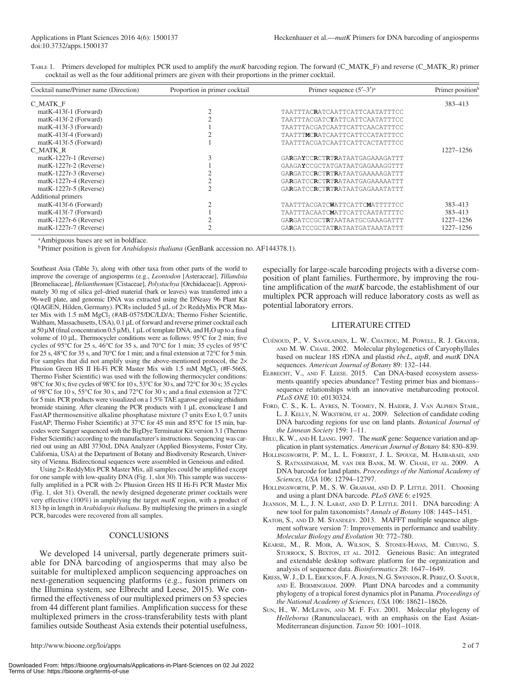| TABLE 1. Primers developed for multiplex PCR used to amplify the matK barcoding region. The forward (C_MATK_F) and reverse (C_MATK_R) primer |  |  |  |  |
|----------------------------------------------------------------------------------------------------------------------------------------------|--|--|--|--|
| cocktail as well as the four additional primers are given with their proportions in the primer cocktail.                                     |  |  |  |  |

| Cocktail name/Primer name (Direction) | Proportion in primer cocktail | Primer sequence $(5'–3')^a$    | Primer position <sup>b</sup> |
|---------------------------------------|-------------------------------|--------------------------------|------------------------------|
| C MATK F                              |                               |                                | 383-413                      |
| matK-413f-1 (Forward)                 |                               | TAATTTACRATCAATTCATTCAATATTTCC |                              |
| matK-413f-2 (Forward)                 |                               | TAATTTACGATCYATTCATTCAATATTTCC |                              |
| matK-413f-3 (Forward)                 |                               | TAATTTACGATCAATTCATTCAACATTTCC |                              |
| $matK-413f-4$ (Forward)               |                               | TAATTTMCRATCAATTCATTCCATATTTCC |                              |
| $matK-413f-5$ (Forward)               |                               | TAATTTACGATCAATTCATTCACTATTTCC |                              |
| C MATK R                              |                               |                                | 1227-1256                    |
| $matK-1227r-1$ (Reverse)              |                               | GARGAYCCRCTRTRATAATGAGAAAGATTT |                              |
| $matK-1227r-2$ (Reverse)              |                               | GAAGAYCCGCTATGATAATGAGAAAGGTTT |                              |
| $matK-1227r-3$ (Reverse)              |                               | GARGATCCRCTRTRATAATGAAAAAGATTT |                              |
| $matK-1227r-4$ (Reverse)              |                               | GARGATCCRCTRTRATAATGAGAAAAATTT |                              |
| $matK-1227r-5$ (Reverse)              |                               | GARGATCCRCTRTRATAATGAGAAATATTT |                              |
| Additional primers                    |                               |                                |                              |
| $matK-413f-6$ (Forward)               |                               | TAATTTACGATCWATTCATTCMATTTTTCC | 383-413                      |
| $matK-413f-7$ (Forward)               |                               | TAATTTACAATCMATTCATTCAATATTTTC | 383-413                      |
| $matK-1227r-6$ (Reverse)              |                               | GARGATCCGCTRTAATAATGCGAAAGATTT | 1227-1256                    |
| $matK-1227r-7$ (Reverse)              |                               | GARGATCCGCTATRATAATGATAAATATTT | 1227-1256                    |

<sup>a</sup>Ambiguous bases are set in boldface.

<sup>b</sup> Primer position is given for *Arabidopsis thaliana* (GenBank accession no. AF144378.1).

Southeast Asia (Table 3), along with other taxa from other parts of the world to improve the coverage of angiosperms (e.g., *Leontodon* [Asteraceae], *Tillandsia* [Bromeliaceae], *Helianthemum* [Cistaceae], *Polystachya* [Orchidaceae]). Approximately 30 mg of silica gel–dried material (bark or leaves) was transferred into a 96-well plate, and genomic DNA was extracted using the DNeasy 96 Plant Kit (QIAGEN, Hilden, Germany). PCRs included 5 μL of 2× ReddyMix PCR Master Mix with 1.5 mM MgCl<sub>2</sub> (#AB-0575/DC/LD/A; Thermo Fisher Scientific, Waltham, Massachusetts, USA), 0.1 μL of forward and reverse primer cocktail each at 50 μM (final concentration 0.5 μM), 1 μL of template DNA, and  $H_2O$  up to a final volume of 10 μL. Thermocycler conditions were as follows: 95°C for 2 min; five cycles of 95°C for 25 s, 46°C for 35 s, and 70°C for 1 min; 35 cycles of 95°C for 25 s, 48°C for 35 s, and 70°C for 1 min; and a final extension at 72°C for 5 min. For samples that did not amplify using the above-mentioned protocol, the  $2\times$ Phusion Green HS II Hi-Fi PCR Master Mix with  $1.5 \text{ mM } MgCl_2$  (#F-566S, Thermo Fisher Scientific) was used with the following thermocycler conditions: 98°C for 30 s; five cycles of 98°C for 10 s, 53°C for 30 s, and 72°C for 30 s; 35 cycles of 98°C for 10 s, 55°C for 30 s, and 72°C for 30 s; and a final extension at 72°C for 5 min. PCR products were visualized on a 1.5% TAE agarose gel using ethidium bromide staining. After cleaning the PCR products with 1 μL exonuclease I and FastAP thermosensitive alkaline phosphatase mixture (7 units Exo I, 0.7 units FastAP; Thermo Fisher Scientific) at 37°C for 45 min and 85°C for 15 min, barcodes were Sanger sequenced with the BigDye Terminator Kit version 3.1 (Thermo Fisher Scientific) according to the manufacturer's instructions. Sequencing was carried out using an ABI 3730xL DNA Analyzer (Applied Biosystems, Foster City, California, USA) at the Department of Botany and Biodiversity Research, University of Vienna. Bidirectional sequences were assembled in Geneious and edited.

Using 2× ReddyMix PCR Master Mix, all samples could be amplified except for one sample with low-quality DNA (Fig. 1, slot 30). This sample was successfully amplified in a PCR with 2× Phusion Green HS II Hi-Fi PCR Master Mix (Fig. 1, slot 31). Overall, the newly designed degenerate primer cocktails were very effective (100%) in amplifying the target *matK* region, with a product of 813 bp in length in *Arabidopsis thaliana*. By multiplexing the primers in a single PCR, barcodes were recovered from all samples.

#### **CONCLUSIONS**

We developed 14 universal, partly degenerate primers suitable for DNA barcoding of angiosperms that may also be suitable for multiplexed amplicon sequencing approaches on next-generation sequencing platforms (e.g., fusion primers on the Illumina system, see Elbrecht and Leese, 2015). We confirmed the effectiveness of our multiplexed primers on 53 species from 44 different plant families. Amplification success for these multiplexed primers in the cross-transferability tests with plant families outside Southeast Asia extends their potential usefulness, especially for large-scale barcoding projects with a diverse composition of plant families. Furthermore, by improving the routine amplification of the *matK* barcode, the establishment of our multiplex PCR approach will reduce laboratory costs as well as potential laboratory errors.

#### LITERATURE CITED

- Cuénoud, P., V. Savolainen, L. W. Chatrou, M. Powell, R. J. Grayer, and M. W. Chase. 2002. Molecular phylogenetics of Caryophyllales based on nuclear 18S rDNA and plastid *rbcL*, *atpB*, and *matK* DNA sequences. *American Journal of Botany* 89: 132–144.
- ELBRECHT, V., AND F. LEESE. 2015. Can DNA-based ecosystem assessments quantify species abundance? Testing primer bias and biomass– sequence relationships with an innovative metabarcoding protocol. *PLoS ONE* 10: e0130324.
- FORD, C. S., K. L. AYRES, N. TOOMEY, N. HAIDER, J. VAN ALPHEN STAHL, L. J. KELLY, N. WIKSTRÖM, ET AL. 2009. Selection of candidate coding DNA barcoding regions for use on land plants. *Botanical Journal of the Linnean Society* 159: 1–11.
- HILU, K. W., AND H. LIANG. 1997. The matK gene: Sequence variation and application in plant systematics. *American Journal of Botany* 84: 830–839.
- Hollingsworth, P. M., L. L. Forrest, J. L. Spouge, M. Hajibabaei, and S. Ratnasingham, M. van der Bank, M. W. Chase, et al. 2009. A DNA barcode for land plants. *Proceedings of the National Academy of Sciences, USA* 106: 12794–12797.
- HOLLINGSWORTH, P. M., S. W. GRAHAM, AND D. P. LITTLE. 2011. Choosing and using a plant DNA barcode. *PLoS ONE* 6: e1925.
- Jeanson, M. L., J. N. Labat, and D. P. Little. 2011. DNA barcoding: A new tool for palm taxonomists? *Annals of Botany* 108: 1445–1451.
- KATOH, S., AND D. M. STANDLEY. 2013. MAFFT multiple sequence alignment software version 7: Improvements in performance and usability. *Molecular Biology and Evolution* 30: 772–780.
- Kearse, M., R. Moir, A. Wilson, S. Stones-Havas, M. Cheung, S. STURROCK, S. BIXTON, ET AL. 2012. Geneious Basic: An integrated and extendable desktop software platform for the organization and analysis of sequence data. *Bioinformatics* 28: 1647–1649.
- KRESS, W. J., D. L. ERICKSON, F. A. JONES, N. G. SWENSON, R. PEREZ, O. SANJUR, and E. Bermingham. 2009. Plant DNA barcodes and a community phylogeny of a tropical forest dynamics plot in Panama. *Proceedings of the National Academy of Sciences, USA* 106: 18621–18626.
- Sun, H., W. McLewin, and M. F. Fay. 2001. Molecular phylogeny of *Helleborus* (Ranunculaceae), with an emphasis on the East Asian-Mediterranean disjunction. *Taxon* 50: 1001–1018.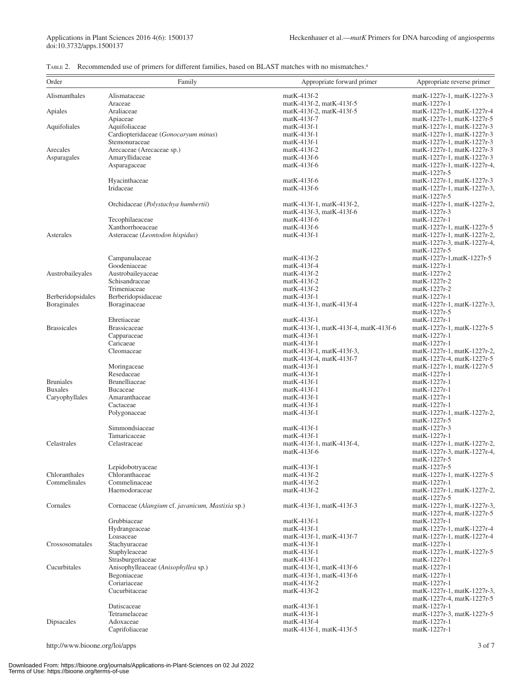# Applications in Plant Sciences 2016 4(6): 1500137<br>doi:10.3732/apps.1500137

|  | TABLE 2. Recommended use of primers for different families, based on BLAST matches with no mismatches. <sup>a</sup> |  |  |  |  |  |  |  |  |
|--|---------------------------------------------------------------------------------------------------------------------|--|--|--|--|--|--|--|--|
|--|---------------------------------------------------------------------------------------------------------------------|--|--|--|--|--|--|--|--|

| Order                            | Family                                                | Appropriate forward primer                | Appropriate reverse primer                                |
|----------------------------------|-------------------------------------------------------|-------------------------------------------|-----------------------------------------------------------|
| Alismanthales                    | Alismataceae                                          | $matK-413f-2$                             | matK-1227r-1, matK-1227r-3                                |
|                                  | Araceae                                               | matK-413f-2, matK-413f-5                  | matK-1227r-1                                              |
| Apiales                          | Araliaceae                                            | matK-413f-2, matK-413f-5                  | matK-1227r-1, matK-1227r-4                                |
|                                  | Apiaceae                                              | $matK-413f-7$                             | matK-1227r-1, matK-1227r-5                                |
| Aquifoliales                     | Aquifoliaceae<br>Cardiopteridaceae (Gonocaryum minus) | $matK-413f-1$<br>$matK-413f-1$            | matK-1227r-1, matK-1227r-3<br>matK-1227r-1, matK-1227r-3  |
|                                  | Stemonuraceae                                         | $matK-413f-1$                             | matK-1227r-1, matK-1227r-3                                |
| Arecales                         | Arecaceae (Arecaceae sp.)                             | $matK-413f-2$                             | matK-1227r-1, matK-1227r-3                                |
| Asparagales                      | Amaryllidaceae                                        | $matK-413f-6$                             | matK-1227r-1, matK-1227r-3                                |
|                                  | Asparagaceae                                          | $matK-413f-6$                             | matK-1227r-1, matK-1227r-4,                               |
|                                  |                                                       |                                           | matK-1227r-5                                              |
|                                  | Hyacinthaceae<br>Iridaceae                            | $matK-413f-6$<br>$matK-413f-6$            | matK-1227r-1, matK-1227r-3<br>matK-1227r-1, matK-1227r-3, |
|                                  |                                                       |                                           | matK-1227r-5                                              |
|                                  | Orchidaceae (Polystachya humbertii)                   | matK-413f-1, matK-413f-2,                 | matK-1227r-1, matK-1227r-2,                               |
|                                  |                                                       | matK-413f-3, matK-413f-6                  | matK-1227r-3                                              |
|                                  | Tecophilaeaceae                                       | $matK-413f-6$                             | matK-1227r-1                                              |
| Asterales                        | Xanthorrhoeaceae                                      | $matK-413f-6$<br>matK-413f-1              | matK-1227r-1, matK-1227r-5<br>matK-1227r-1, matK-1227r-2, |
|                                  | Asteraceae (Leontodon hispidus)                       |                                           | matK-1227r-3, matK-1227r-4,                               |
|                                  |                                                       |                                           | matK-1227r-5                                              |
|                                  | Campanulaceae                                         | $matK-413f-2$                             | matK-1227r-1, matK-1227r-5                                |
|                                  | Goodeniaceae                                          | $matK-413f-4$                             | matK-1227r-1                                              |
| Austrobaileyales                 | Austrobaileyaceae                                     | $matK-413f-2$                             | matK-1227r-2                                              |
|                                  | Schisandraceae<br>Trimeniaceae                        | $matK-413f-2$<br>$matK-413f-2$            | matK-1227r-2<br>matK-1227r-2                              |
| Berberidopsidales                | Berberidopsidaceae                                    | matK-413f-1                               | matK-1227r-1                                              |
| <b>B</b> oraginales              | Boraginaceae                                          | matK-413f-1, matK-413f-4                  | matK-1227r-1, matK-1227r-3,                               |
|                                  |                                                       |                                           | matK-1227r-5                                              |
|                                  | Ehretiaceae                                           | $matK-413f-1$                             | matK-1227r-1                                              |
| <b>Brassicales</b>               | <b>Brassicaceae</b>                                   | matK-413f-1, matK-413f-4, matK-413f-6     | matK-1227r-1, matK-1227r-5                                |
|                                  | Capparaceae<br>Caricaeae                              | matK-413f-1<br>$matK-413f-1$              | matK-1227r-1<br>matK-1227r-1                              |
|                                  | Cleomaceae                                            | matK-413f-1, matK-413f-3,                 | matK-1227r-1, matK-1227r-2,                               |
|                                  |                                                       | matK-413f-4, matK-413f-7                  | matK-1227r-4, matK-1227r-5                                |
|                                  | Moringaceae                                           | matK-413f-1                               | matK-1227r-1, matK-1227r-5                                |
|                                  | Resedaceae                                            | $matK-413f-1$                             | matK-1227r-1                                              |
| <b>Bruniales</b>                 | <b>Brunelliaceae</b>                                  | $matK-413f-1$                             | matK-1227r-1                                              |
| <b>Buxales</b><br>Caryophyllales | Bucaceae<br>Amaranthaceae                             | $matK-413f-1$<br>$matK-413f-1$            | matK-1227r-1<br>matK-1227r-1                              |
|                                  | Cactaceae                                             | matK-413f-1                               | matK-1227r-1                                              |
|                                  | Polygonaceae                                          | matK-413f-1                               | matK-1227r-1, matK-1227r-2,                               |
|                                  |                                                       |                                           | matK-1227r-5                                              |
|                                  | Simmondsiaceae                                        | matK-413f-1                               | matK-1227r-3                                              |
| Celastrales                      | Tamaricaceae<br>Celastraceae                          | matK-413f-1<br>matK-413f-1, matK-413f-4,  | matK-1227r-1<br>matK-1227r-1, matK-1227r-2,               |
|                                  |                                                       | matK-413f-6                               | matK-1227r-3, matK-1227r-4,                               |
|                                  |                                                       |                                           | matK-1227r-5                                              |
|                                  | Lepidobotryaceae                                      | matK-413f-1                               | matK-1227r-5                                              |
| Chloranthales                    | Chloranthaceae                                        | matK-413f-2                               | matK-1227r-1, matK-1227r-5                                |
| Commelinales                     | Commelinaceae<br>Haemodoraceae                        | matK-413f-2                               | matK-1227r-1                                              |
|                                  |                                                       | matK-413f-2                               | matK-1227r-1, matK-1227r-2,<br>matK-1227r-5               |
| Cornales                         | Cornaceae (Alangium cf. javanicum, Mastixia sp.)      | matK-413f-1, matK-413f-3                  | matK-1227r-1, matK-1227r-3,                               |
|                                  |                                                       |                                           | matK-1227r-4, matK-1227r-5                                |
|                                  | Grubbiaceae                                           | matK-413f-1                               | matK-1227r-1                                              |
|                                  | Hydrangeaceae                                         | matK-413f-1                               | matK-1227r-1, matK-1227r-4                                |
| Crossosomatales                  | Loasaceae<br>Stachyuraceae                            | matK-413f-1, matK-413f-7<br>$matK-413f-1$ | matK-1227r-1, matK-1227r-4<br>matK-1227r-1                |
|                                  | Staphyleaceae                                         | $matK-413f-1$                             | matK-1227r-1, matK-1227r-5                                |
|                                  | Strasburgeriaceae                                     | $matK-413f-1$                             | matK-1227r-1                                              |
| Cucurbitales                     | Anisophylleaceae (Anisophyllea sp.)                   | matK-413f-1, matK-413f-6                  | matK-1227r-1                                              |
|                                  | Begoniaceae                                           | matK-413f-1, matK-413f-6                  | $matK-1227r-1$                                            |
|                                  | Coriariaceae                                          | $matK-413f-2$                             | $matK-1227r-1$                                            |
|                                  | Cucurbitaceae                                         | $matK-413f-2$                             | matK-1227r-1, matK-1227r-3,<br>matK-1227r-4, matK-1227r-5 |
|                                  | Datiscaceae                                           | $matK-413f-1$                             | $matK-1227r-1$                                            |
|                                  | Tetramelaceae                                         | $matK-413f-1$                             | matK-1227r-3, matK-1227r-5                                |
| Dipsacales                       | Adoxaceae                                             | matK-413f-4                               | matK-1227r-1                                              |
|                                  | Caprifoliaceae                                        | matK-413f-1, matK-413f-5                  | matK-1227r-1                                              |

http://www.bioone.org/loi/apps 3 of 7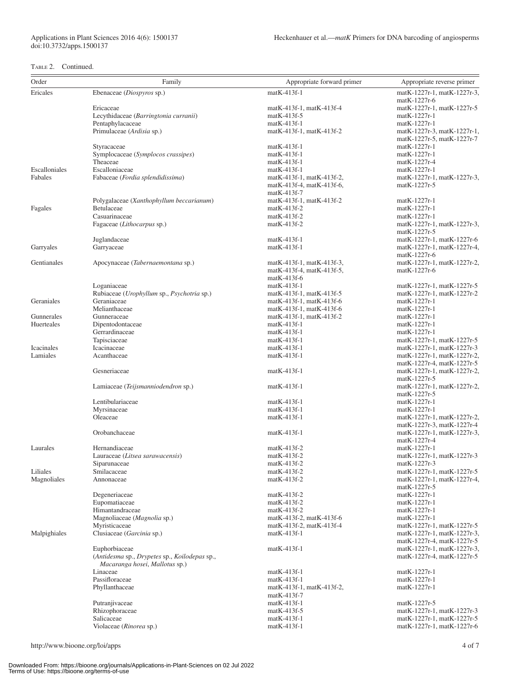### TABLE 2. Continued.

| Order         | Family                                                 | Appropriate forward primer                           | Appropriate reverse primer                                |
|---------------|--------------------------------------------------------|------------------------------------------------------|-----------------------------------------------------------|
| Ericales      | Ebenaceae (Diospyros sp.)                              | matK-413f-1                                          | matK-1227r-1, matK-1227r-3,                               |
|               |                                                        |                                                      | matK-1227r-6                                              |
|               | Ericaceae                                              | $matK-413f-1, matK-413f-4$                           | matK-1227r-1, matK-1227r-5                                |
|               | Lecythidaceae (Barringtonia curranii)                  | $matK-413f-5$                                        | matK-1227r-1                                              |
|               | Pentaphylacaceae<br>Primulaceae (Ardisia sp.)          | $matK-413f-1$<br>matK-413f-1, matK-413f-2            | matK-1227r-1<br>matK-1227r-3, matK-1227r-1,               |
|               |                                                        |                                                      | matK-1227r-5, matK-1227r-7                                |
|               | Styracaceae                                            | $matK-413f-1$                                        | matK-1227r-1                                              |
|               | Symplocaceae (Symplocos crassipes)                     | $matK-413f-1$                                        | matK-1227r-1                                              |
|               | Theaceae                                               | matK-413f-1                                          | matK-1227r-4                                              |
| Escalloniales | Escalloniaceae                                         | matK-413f-1                                          | matK-1227r-1                                              |
| Fabales       | Fabaceae (Fordia splendidissima)                       | matK-413f-1, matK-413f-2,                            | matK-1227r-1, matK-1227r-3,                               |
|               |                                                        | matK-413f-4, matK-413f-6,                            | matK-1227r-5                                              |
|               |                                                        | matK-413f-7<br>matK-413f-1, matK-413f-2              | $matK-1227r-1$                                            |
| Fagales       | Polygalaceae (Xanthophyllum beccarianum)<br>Betulaceae | $matK-413f-2$                                        | matK-1227r-1                                              |
|               | Casuarinaceae                                          | $matK-413f-2$                                        | matK-1227r-1                                              |
|               | Fagaceae (Lithocarpus sp.)                             | matK-413f-2                                          | matK-1227r-1, matK-1227r-3,                               |
|               |                                                        |                                                      | matK-1227r-5                                              |
|               | Juglandaceae                                           | $matK-413f-1$                                        | matK-1227r-1, matK-1227r-6                                |
| Garryales     | Garryaceae                                             | matK-413f-1                                          | matK-1227r-1, matK-1227r-4,                               |
|               |                                                        |                                                      | matK-1227r-6                                              |
| Gentianales   | Apocynaceae (Tabernaemontana sp.)                      | matK-413f-1, matK-413f-3,                            | matK-1227r-1, matK-1227r-2,                               |
|               |                                                        | matK-413f-4, matK-413f-5,<br>$matK-413f-6$           | matK-1227r-6                                              |
|               | Loganiaceae                                            | matK-413f-1                                          | matK-1227r-1, matK-1227r-5                                |
|               | Rubiaceae (Urophyllum sp., Psychotria sp.)             | matK-413f-1, matK-413f-5                             | matK-1227r-1, matK-1227r-2                                |
| Geraniales    | Geraniaceae                                            | matK-413f-1, matK-413f-6                             | matK-1227r-1                                              |
|               | Melianthaceae                                          | matK-413f-1, matK-413f-6                             | matK-1227r-1                                              |
| Gunnerales    | Gunneraceae                                            | matK-413f-1, matK-413f-2                             | matK-1227r-1                                              |
| Huerteales    | Dipentodontaceae                                       | $matK-413f-1$                                        | matK-1227r-1                                              |
|               | Gerrardinaceae                                         | matK-413f-1                                          | matK-1227r-1                                              |
|               | Tapisciaceae                                           | $matK-413f-1$                                        | matK-1227r-1, matK-1227r-5                                |
| Icacinales    | Icacinaceae                                            | $matK-413f-1$                                        | matK-1227r-1, matK-1227r-3                                |
| Lamiales      | Acanthaceae                                            | $matK-413f-1$                                        | matK-1227r-1, matK-1227r-2,<br>matK-1227r-4, matK-1227r-5 |
|               | Gesneriaceae                                           | $matK-413f-1$                                        | matK-1227r-1, matK-1227r-2,                               |
|               |                                                        |                                                      | matK-1227r-5                                              |
|               | Lamiaceae (Teijsmanniodendron sp.)                     | $matK-413f-1$                                        | matK-1227r-1, matK-1227r-2,                               |
|               |                                                        |                                                      | matK-1227r-5                                              |
|               | Lentibulariaceae                                       | $matK-413f-1$                                        | matK-1227r-1                                              |
|               | Myrsinaceae                                            | $matK-413f-1$                                        | matK-1227r-1                                              |
|               | Oleaceae                                               | $matK-413f-1$                                        | matK-1227r-1, matK-1227r-2,                               |
|               |                                                        |                                                      | matK-1227r-3, matK-1227r-4                                |
|               | Orobanchaceae                                          | matK-413f-1                                          | matK-1227r-1, matK-1227r-3,<br>matK-1227r-4               |
| Laurales      | Hernandiaceae                                          | matK-413f-2                                          | matK-1227r-1                                              |
|               | Lauraceae (Litsea sarawacensis)                        | matK-413f-2                                          | matK-1227r-1, matK-1227r-3                                |
|               | Siparunaceae                                           | matK-413f-2                                          | matK-1227r-3                                              |
| Liliales      | Smilacaceae                                            | matK-413f-2                                          | matK-1227r-1, matK-1227r-5                                |
| Magnoliales   | Annonaceae                                             | $matK-413f-2$                                        | matK-1227r-1, matK-1227r-4,                               |
|               |                                                        |                                                      | matK-1227r-5                                              |
|               | Degeneriaceae                                          | $matK-413f-2$                                        | matK-1227r-1                                              |
|               | Eupomatiaceae                                          | matK-413f-2                                          | matK-1227r-1                                              |
|               | Himantandraceae                                        | matK-413f-2                                          | matK-1227r-1                                              |
|               | Magnoliaceae (Magnolia sp.)<br>Myristicaceae           | matK-413f-2, matK-413f-6<br>matK-413f-2, matK-413f-4 | matK-1227r-1<br>matK-1227r-1, matK-1227r-5                |
| Malpighiales  | Clusiaceae (Garcinia sp.)                              | matK-413f-1                                          | matK-1227r-1, matK-1227r-3,                               |
|               |                                                        |                                                      | matK-1227r-4, matK-1227r-5                                |
|               | Euphorbiaceae                                          | matK-413f-1                                          | matK-1227r-1, matK-1227r-3,                               |
|               | (Antidesma sp., Drypetes sp., Koilodepas sp.,          |                                                      | matK-1227r-4, matK-1227r-5                                |
|               | Macaranga hosei, Mallotus sp.)                         |                                                      |                                                           |
|               | Linaceae                                               | matK-413f-1                                          | matK-1227r-1                                              |
|               | Passifloraceae                                         | matK-413f-1                                          | matK-1227r-1                                              |
|               | Phyllanthaceae                                         | matK-413f-1, matK-413f-2,                            | matK-1227r-1                                              |
|               | Putranjivaceae                                         | matK-413f-7<br>$matK-413f-1$                         | matK-1227r-5                                              |
|               | Rhizophoraceae                                         | matK-413f-5                                          | matK-1227r-1, matK-1227r-3                                |
|               | Salicaceae                                             | matK-413f-1                                          | matK-1227r-1, matK-1227r-5                                |
|               | Violaceae (Rinorea sp.)                                | matK-413f-1                                          | matK-1227r-1, matK-1227r-6                                |
|               |                                                        |                                                      |                                                           |

http://www.bioone.org/loi/apps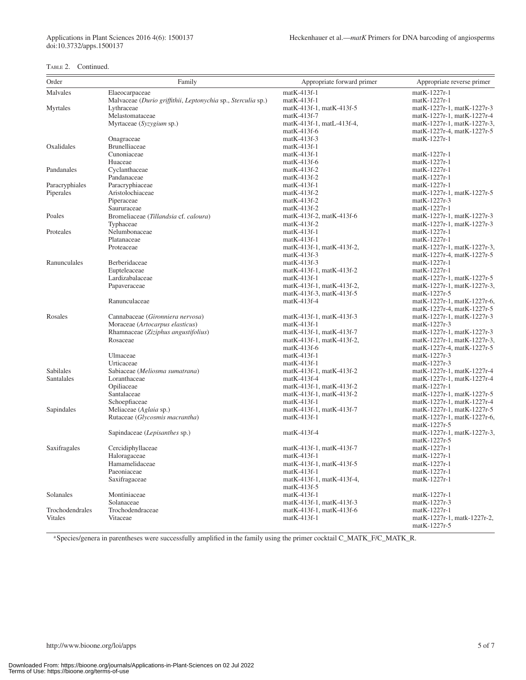### TABLE 2. Continued.

| Order           | Family                                                       | Appropriate forward primer | Appropriate reverse primer                  |
|-----------------|--------------------------------------------------------------|----------------------------|---------------------------------------------|
| Malvales        |                                                              | $matK-413f-1$              | matK-1227r-1                                |
|                 | Elaeocarpaceae                                               |                            |                                             |
|                 | Malvaceae (Durio griffithii, Leptonychia sp., Sterculia sp.) | $matK-413f-1$              | $matK-1227r-1$                              |
| Myrtales        | Lythraceae                                                   | matK-413f-1, matK-413f-5   | matK-1227r-1, matK-1227r-3                  |
|                 | Melastomataceae                                              | $matK-413f-7$              | matK-1227r-1, matK-1227r-4                  |
|                 | Myrtaceae (Syzygium sp.)                                     | matK-413f-1, matL-413f-4,  | matK-1227r-1, matK-1227r-3,                 |
|                 |                                                              | $matK-413f-6$              | matK-1227r-4, matK-1227r-5                  |
|                 | Onagraceae                                                   | $matK-413f-3$              | matK-1227r-1                                |
| Oxalidales      | <b>Brunelliaceae</b>                                         | $matK-413f-1$              |                                             |
|                 | Cunoniaceae                                                  | $matK-413f-1$              | matK-1227r-1                                |
|                 | Huaceae                                                      | $matK-413f-6$              | matK-1227r-1                                |
| Pandanales      | Cyclanthaceae                                                | $matK-413f-2$              | matK-1227r-1                                |
|                 | Pandanaceae                                                  | $matK-413f-2$              | matK-1227r-1                                |
| Paracryphiales  | Paracryphiaceae                                              | $matK-413f-1$              | matK-1227r-1                                |
| Piperales       | Aristolochiaceae                                             | $matK-413f-2$              | matK-1227r-1, matK-1227r-5                  |
|                 | Piperaceae                                                   | $matK-413f-2$              | matK-1227r-3                                |
|                 | Saururaceae                                                  | matK-413f-2                | matK-1227r-1                                |
| Poales          | Bromeliaceae (Tillandsia cf. caloura)                        | matK-413f-2, matK-413f-6   | matK-1227r-1, matK-1227r-3                  |
|                 | Typhaceae                                                    | $matK-413f-2$              | matK-1227r-1, matK-1227r-3                  |
| Proteales       | Nelumbonaceae                                                | $matK-413f-1$              | matK-1227r-1                                |
|                 | Platanaceae                                                  | $matK-413f-1$              | matK-1227r-1                                |
|                 | Proteaceae                                                   | matK-413f-1, matK-413f-2,  | matK-1227r-1, matK-1227r-3,                 |
|                 |                                                              | $matK-413f-3$              | matK-1227r-4, matK-1227r-5                  |
| Ranunculales    | Berberidaceae                                                | matK-413f-3                | matK-1227r-1                                |
|                 | Eupteleaceae                                                 | matK-413f-1, matK-413f-2   | matK-1227r-1                                |
|                 | Lardizabalaceae                                              | $matK-413f-1$              | matK-1227r-1, matK-1227r-5                  |
|                 | Papaveraceae                                                 | matK-413f-1, matK-413f-2,  | matK-1227r-1, matK-1227r-3,                 |
|                 |                                                              | matK-413f-3, matK-413f-5   | matK-1227r-5                                |
|                 | Ranunculaceae                                                | $matK-413f-4$              | matK-1227r-1, matK-1227r-6,                 |
|                 |                                                              |                            | matK-1227r-4, matK-1227r-5                  |
| Rosales         | Cannabaceae (Gironniera nervosa)                             | matK-413f-1, matK-413f-3   | matK-1227r-1, matK-1227r-3                  |
|                 | Moraceae (Artocarpus elasticus)                              | $matK-413f-1$              | matK-1227r-3                                |
|                 | Rhamnaceae (Ziziphus angustifolius)                          | matK-413f-1, matK-413f-7   | matK-1227r-1, matK-1227r-3                  |
|                 | Rosaceae                                                     | matK-413f-1, matK-413f-2,  | matK-1227r-1, matK-1227r-3,                 |
|                 |                                                              | $matK-413f-6$              | matK-1227r-4, matK-1227r-5                  |
|                 | Ulmaceae                                                     | $matK-413f-1$              | matK-1227r-3                                |
|                 | Urticaceae                                                   | $matK-413f-1$              | matK-1227r-3                                |
| Sabilales       | Sabiaceae (Meliosma sumatrana)                               | matK-413f-1, matK-413f-2   | matK-1227r-1, matK-1227r-4                  |
| Santalales      | Loranthaceae                                                 | $matK-413f-4$              | matK-1227r-1, matK-1227r-4                  |
|                 | Opiliaceae                                                   | matK-413f-1, matK-413f-2   | matK-1227r-1                                |
|                 | Santalaceae                                                  | matK-413f-1, matK-413f-2   | matK-1227r-1, matK-1227r-5                  |
|                 | Schoepfiaceae                                                | $matK-413f-1$              | matK-1227r-1, matK-1227r-4                  |
| Sapindales      | Meliaceae (Aglaia sp.)                                       | matK-413f-1, matK-413f-7   | matK-1227r-1, matK-1227r-5                  |
|                 | Rutaceae (Glycosmis macrantha)                               | $matK-413f-1$              | matK-1227r-1, matK-1227r-6,                 |
|                 |                                                              |                            | matK-1227r-5                                |
|                 | Sapindaceae (Lepisanthes sp.)                                | $matK-413f-4$              | matK-1227r-1, matK-1227r-3,                 |
|                 |                                                              |                            | matK-1227r-5                                |
| Saxifragales    | Cercidiphyllaceae                                            | matK-413f-1, matK-413f-7   | matK-1227r-1                                |
|                 | Haloragaceae                                                 | matK-413f-1                | matK-1227r-1                                |
|                 | Hamamelidaceae                                               | matK-413f-1, matK-413f-5   | matK-1227r-1                                |
|                 | Paeoniaceae                                                  | $matK-413f-1$              | matK-1227r-1                                |
|                 | Saxifragaceae                                                | matK-413f-1, matK-413f-4,  | matK-1227r-1                                |
|                 |                                                              | $matK-413f-5$              |                                             |
| Solanales       | Montiniaceae                                                 | $matK-413f-1$              | matK-1227r-1                                |
|                 | Solanaceae                                                   | matK-413f-1, matK-413f-3   | matK-1227r-3                                |
| Trochodendrales | Trochodendraceae                                             | matK-413f-1, matK-413f-6   | matK-1227r-1                                |
| Vitales         | Vitaceae                                                     | $matK-413f-1$              | matK-1227r-1, matk-1227r-2,<br>matK-1227r-5 |

aSpecies/genera in parentheses were successfully amplified in the family using the primer cocktail C\_MATK\_F/C\_MATK\_R.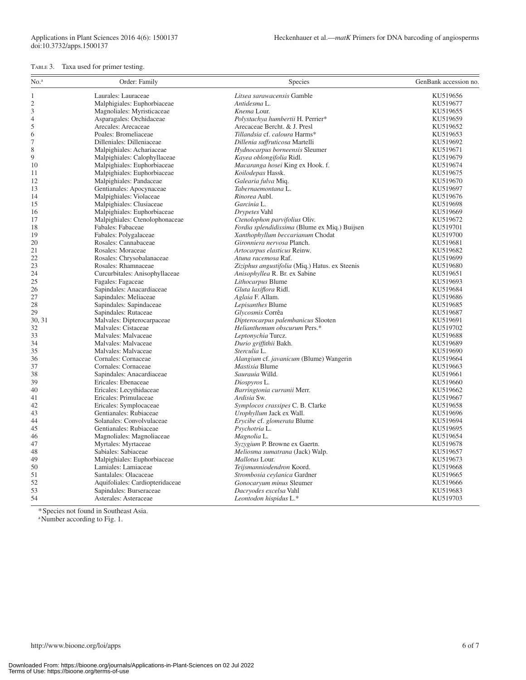#### TABLE 3. Taxa used for primer testing.

| No. <sup>a</sup>            | Order: Family                   | Species                                        | GenBank accession no. |
|-----------------------------|---------------------------------|------------------------------------------------|-----------------------|
| 1                           | Laurales: Lauraceae             | Litsea sarawacensis Gamble                     | KU519656              |
| $\overline{c}$              | Malphigiales: Euphorbiaceae     | Antidesma L.                                   | KU519677              |
| $\ensuremath{\mathfrak{Z}}$ | Magnoliales: Myristicaceae      | Knema Lour.                                    | KU519655              |
| 4                           | Asparagales: Orchidaceae        | Polystachya humbertii H. Perrier*              | KU519659              |
| 5                           | Arecales: Arecaceae             | Arecaceae Bercht. & J. Presl                   | KU519652              |
| 6                           | Poales: Bromeliaceae            | Tillandsia cf. caloura Harms*                  | KU519653              |
| $\boldsymbol{7}$            | Dilleniales: Dilleniaceae       | Dillenia suffruticosa Martelli                 | KU519692              |
| $\,$ $\,$                   | Malpighiales: Achariaceae       | Hydnocarpus borneensis Sleumer                 | KU519671              |
| 9                           | Malpighiales: Calophyllaceae    | Kayea oblongifolia Ridl.                       | KU519679              |
| 10                          | Malpighiales: Euphorbiaceae     | Macaranga hosei King ex Hook. f.               | KU519674              |
| 11                          | Malpighiales: Euphorbiaceae     | Koilodepas Hassk.                              | KU519675              |
| 12                          | Malpighiales: Pandaceae         | Galearia fulva Miq.                            | KU519670              |
| 13                          | Gentianales: Apocynaceae        | Tabernaemontana L.                             | KU519697              |
| 14                          | Malpighiales: Violaceae         | Rinorea Aubl.                                  | KU519676              |
| 15                          | Malpighiales: Clusiaceae        | Garcinia L.                                    | KU519698              |
| 16                          | Malpighiales: Euphorbiaceae     | Drypetes Vahl                                  | KU519669              |
| 17                          | Malpighiales: Ctenolophonaceae  | Ctenolophon parvifolius Oliv.                  | KU519672              |
| 18                          | Fabales: Fabaceae               | Fordia splendidissima (Blume ex Miq.) Buijsen  | KU519701              |
| 19                          | Fabales: Polygalaceae           | Xanthophyllum beccarianum Chodat               | KU519700              |
| 20                          | Rosales: Cannabaceae            | Gironniera nervosa Planch.                     | KU519681              |
| 21                          | Rosales: Moraceae               | Artocarpus elasticus Reinw.                    | KU519682              |
| 22                          | Rosales: Chrysobalanaceae       | Atuna racemosa Raf.                            | KU519699              |
| 23                          | Rosales: Rhamnaceae             | Ziziphus angustifolia (Miq.) Hatus. ex Steenis | KU519680              |
| 24                          | Curcurbitales: Anisophyllaceae  | Anisophyllea R. Br. ex Sabine                  | KU519651              |
| 25                          | Fagales: Fagaceae               | Lithocarpus Blume                              | KU519693              |
| 26                          | Sapindales: Anacardiaceae       | Gluta laxiflora Ridl.                          | KU519684              |
| 27                          | Sapindales: Meliaceae           | Aglaia F. Allam.                               | KU519686              |
| 28                          | Sapindales: Sapindaceae         | Lepisanthes Blume                              | KU519685              |
| 29                          | Sapindales: Rutaceae            | Glycosmis Corrêa                               | KU519687              |
| 30, 31                      | Malvales: Dipterocarpaceae      | Dipterocarpus palembanicus Slooten             | KU519691              |
| 32                          | Malvales: Cistaceae             | Helianthemum obscurum Pers.*                   | KU519702              |
| 33                          | Malvales: Malvaceae             | Leptonychia Turcz.                             | KU519688              |
| 34                          | Malvales: Malvaceae             | Durio griffithii Bakh.                         | KU519689              |
| 35                          | Malvales: Malvaceae             | Sterculia L.                                   | KU519690              |
| 36                          | Cornales: Cornaceae             | Alangium cf. javanicum (Blume) Wangerin        | KU519664              |
| 37                          | Cornales: Cornaceae             | Mastixia Blume                                 | KU519663              |
| 38                          | Sapindales: Anacardiaceae       | Saurauia Willd.                                | KU519661              |
| 39                          | Ericales: Ebenaceae             | Diospyros L.                                   | KU519660              |
| 40                          | Ericales: Lecythidaceae         | Barringtonia curranii Merr.                    | KU519662              |
| 41                          | Ericales: Primulaceae           | Ardisia Sw.                                    | KU519667              |
| 42                          | Ericales: Symplocaceae          | Symplocos crassipes C. B. Clarke               | KU519658              |
| 43                          | Gentianales: Rubiaceae          | Urophyllum Jack ex Wall.                       | KU519696              |
| 44                          | Solanales: Convolvulaceae       | Erycibe cf. glomerata Blume                    | KU519694              |
| 45                          | Gentianales: Rubiaceae          | Psychotria L.                                  | KU519695              |
| 46                          | Magnoliales: Magnoliaceae       | Magnolia L.                                    | KU519654              |
| 47                          | Myrtales: Myrtaceae             | Syzygium P. Browne ex Gaertn.                  | KU519678              |
| 48                          | Sabiales: Sabiaceae             | Meliosma sumatrana (Jack) Walp.                | KU519657              |
| 49                          | Malpighiales: Euphorbiaceae     | Mallotus Lour.                                 | KU519673              |
| 50                          | Lamiales: Lamiaceae             | Teijsmanniodendron Koord.                      | KU519668              |
| 51                          | Santalales: Olacaceae           | Strombosia ceylanica Gardner                   | KU519665              |
| 52                          | Aquifoliales: Cardiopteridaceae | Gonocaryum minus Sleumer                       | KU519666              |
| 53                          | Sapindales: Burseraceae         | Dacryodes excelsa Vahl                         | KU519683              |
| 54                          | Asterales: Asteraceae           | Leontodon hispidus L.*                         | KU519703              |

\*Species not found in Southeast Asia.

<sup>a</sup>Number according to Fig. 1.